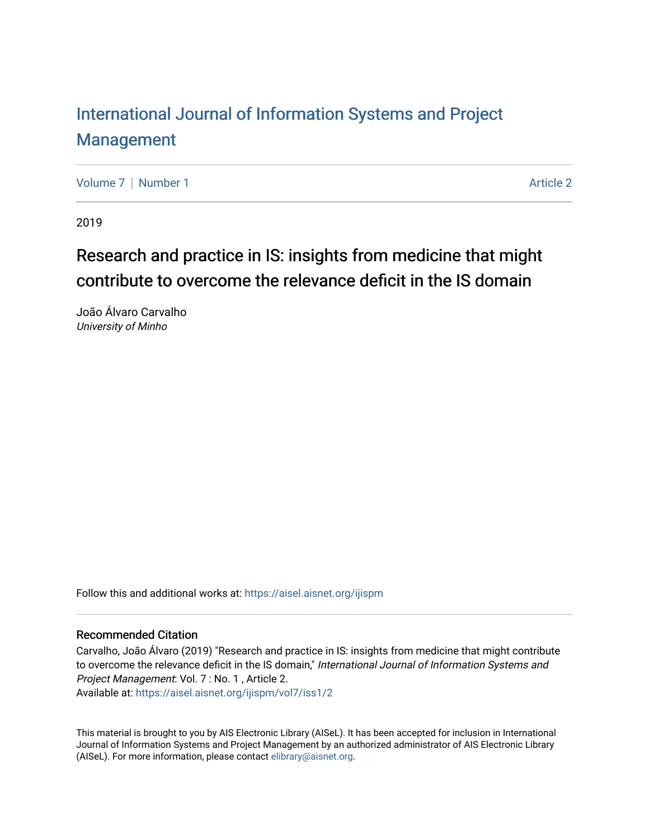# [International Journal of Information Systems and Project](https://aisel.aisnet.org/ijispm)  [Management](https://aisel.aisnet.org/ijispm)

[Volume 7](https://aisel.aisnet.org/ijispm/vol7) | [Number 1](https://aisel.aisnet.org/ijispm/vol7/iss1) Article 2

2019

# Research and practice in IS: insights from medicine that might contribute to overcome the relevance deficit in the IS domain

João Álvaro Carvalho University of Minho

Follow this and additional works at: [https://aisel.aisnet.org/ijispm](https://aisel.aisnet.org/ijispm?utm_source=aisel.aisnet.org%2Fijispm%2Fvol7%2Fiss1%2F2&utm_medium=PDF&utm_campaign=PDFCoverPages) 

## Recommended Citation

Carvalho, João Álvaro (2019) "Research and practice in IS: insights from medicine that might contribute to overcome the relevance deficit in the IS domain," International Journal of Information Systems and Project Management: Vol. 7 : No. 1 , Article 2.

Available at: [https://aisel.aisnet.org/ijispm/vol7/iss1/2](https://aisel.aisnet.org/ijispm/vol7/iss1/2?utm_source=aisel.aisnet.org%2Fijispm%2Fvol7%2Fiss1%2F2&utm_medium=PDF&utm_campaign=PDFCoverPages) 

This material is brought to you by AIS Electronic Library (AISeL). It has been accepted for inclusion in International Journal of Information Systems and Project Management by an authorized administrator of AIS Electronic Library (AISeL). For more information, please contact [elibrary@aisnet.org](mailto:elibrary@aisnet.org%3E).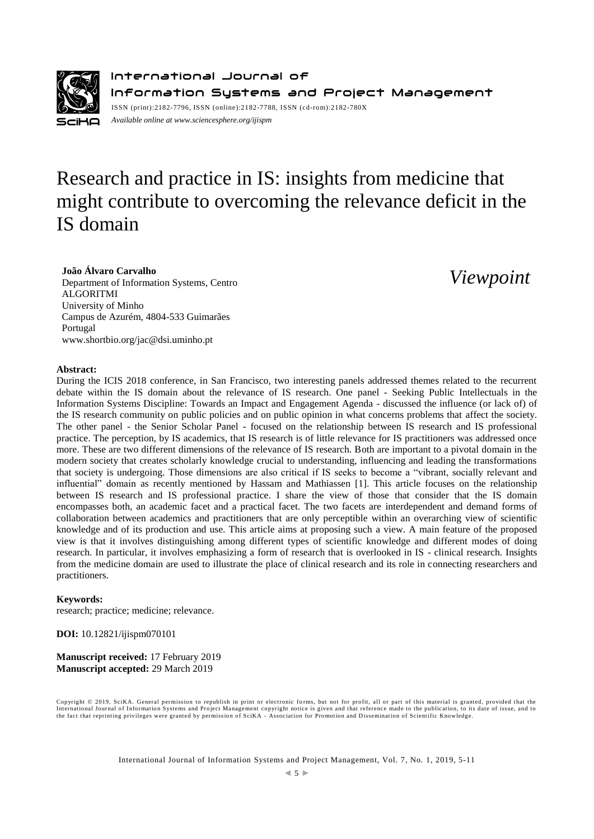

International Journal of Information Systems and Project Management ISSN (print):2182-7796, ISSN (online):2182-7788, ISSN (cd-rom):2182-780X *Available online a[t www.sciencesphere.org/ijispm](http://www.sciencesphere.org/ijispm)*

# Research and practice in IS: insights from medicine that might contribute to overcoming the relevance deficit in the IS domain

## **João Álvaro Carvalho**

Department of Information Systems, Centro ALGORITMI University of Minho Campus de Azurém, 4804-533 Guimarães Portugal www.shortbio.org/jac@dsi.uminho.pt

*Viewpoint*

#### **Abstract:**

During the ICIS 2018 conference, in San Francisco, two interesting panels addressed themes related to the recurrent debate within the IS domain about the relevance of IS research. One panel - Seeking Public Intellectuals in the Information Systems Discipline: Towards an Impact and Engagement Agenda - discussed the influence (or lack of) of the IS research community on public policies and on public opinion in what concerns problems that affect the society. The other panel - the Senior Scholar Panel - focused on the relationship between IS research and IS professional practice. The perception, by IS academics, that IS research is of little relevance for IS practitioners was addressed once more. These are two different dimensions of the relevance of IS research. Both are important to a pivotal domain in the modern society that creates scholarly knowledge crucial to understanding, influencing and leading the transformations that society is undergoing. Those dimensions are also critical if IS seeks to become a "vibrant, socially relevant and influential" domain as recently mentioned by Hassam and Mathiassen [1]. This article focuses on the relationship between IS research and IS professional practice. I share the view of those that consider that the IS domain encompasses both, an academic facet and a practical facet. The two facets are interdependent and demand forms of collaboration between academics and practitioners that are only perceptible within an overarching view of scientific knowledge and of its production and use. This article aims at proposing such a view. A main feature of the proposed view is that it involves distinguishing among different types of scientific knowledge and different modes of doing research. In particular, it involves emphasizing a form of research that is overlooked in IS - clinical research. Insights from the medicine domain are used to illustrate the place of clinical research and its role in connecting researchers and practitioners.

#### **Keywords:**

research; practice; medicine; relevance.

**DOI:** 10.12821/ijispm070101

**Manuscript received:** 17 February 2019 **Manuscript accepted:** 29 March 2019

Copyright © 2019, SciKA. General permission to republish in print or electronic forms, but not for profit, all or part of this material is granted, provided that the International Journal of Information Systems and Project Management copyright notice is given and that reference made to the publication, to its date of issue, and to<br>the fact that reprinting privileges were granted by per

International Journal of Information Systems and Project Management, Vol. 7, No. 1, 2019, 5-11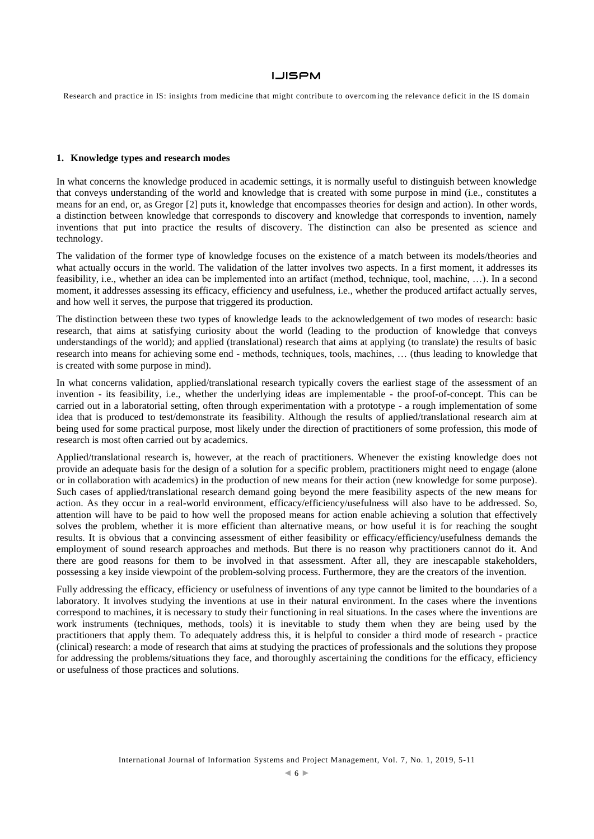Research and practice in IS: insights from medicine that might contribute to overcom ing the relevance deficit in the IS domain

#### **1. Knowledge types and research modes**

In what concerns the knowledge produced in academic settings, it is normally useful to distinguish between knowledge that conveys understanding of the world and knowledge that is created with some purpose in mind (i.e., constitutes a means for an end, or, as Gregor [2] puts it, knowledge that encompasses theories for design and action). In other words, a distinction between knowledge that corresponds to discovery and knowledge that corresponds to invention, namely inventions that put into practice the results of discovery. The distinction can also be presented as science and technology.

The validation of the former type of knowledge focuses on the existence of a match between its models/theories and what actually occurs in the world. The validation of the latter involves two aspects. In a first moment, it addresses its feasibility, i.e., whether an idea can be implemented into an artifact (method, technique, tool, machine, …). In a second moment, it addresses assessing its efficacy, efficiency and usefulness, i.e., whether the produced artifact actually serves, and how well it serves, the purpose that triggered its production.

The distinction between these two types of knowledge leads to the acknowledgement of two modes of research: basic research, that aims at satisfying curiosity about the world (leading to the production of knowledge that conveys understandings of the world); and applied (translational) research that aims at applying (to translate) the results of basic research into means for achieving some end - methods, techniques, tools, machines, … (thus leading to knowledge that is created with some purpose in mind).

In what concerns validation, applied/translational research typically covers the earliest stage of the assessment of an invention - its feasibility, i.e., whether the underlying ideas are implementable - the proof-of-concept. This can be carried out in a laboratorial setting, often through experimentation with a prototype - a rough implementation of some idea that is produced to test/demonstrate its feasibility. Although the results of applied/translational research aim at being used for some practical purpose, most likely under the direction of practitioners of some profession, this mode of research is most often carried out by academics.

Applied/translational research is, however, at the reach of practitioners. Whenever the existing knowledge does not provide an adequate basis for the design of a solution for a specific problem, practitioners might need to engage (alone or in collaboration with academics) in the production of new means for their action (new knowledge for some purpose). Such cases of applied/translational research demand going beyond the mere feasibility aspects of the new means for action. As they occur in a real-world environment, efficacy/efficiency/usefulness will also have to be addressed. So, attention will have to be paid to how well the proposed means for action enable achieving a solution that effectively solves the problem, whether it is more efficient than alternative means, or how useful it is for reaching the sought results. It is obvious that a convincing assessment of either feasibility or efficacy/efficiency/usefulness demands the employment of sound research approaches and methods. But there is no reason why practitioners cannot do it. And there are good reasons for them to be involved in that assessment. After all, they are inescapable stakeholders, possessing a key inside viewpoint of the problem-solving process. Furthermore, they are the creators of the invention.

Fully addressing the efficacy, efficiency or usefulness of inventions of any type cannot be limited to the boundaries of a laboratory. It involves studying the inventions at use in their natural environment. In the cases where the inventions correspond to machines, it is necessary to study their functioning in real situations. In the cases where the inventions are work instruments (techniques, methods, tools) it is inevitable to study them when they are being used by the practitioners that apply them. To adequately address this, it is helpful to consider a third mode of research - practice (clinical) research: a mode of research that aims at studying the practices of professionals and the solutions they propose for addressing the problems/situations they face, and thoroughly ascertaining the conditions for the efficacy, efficiency or usefulness of those practices and solutions.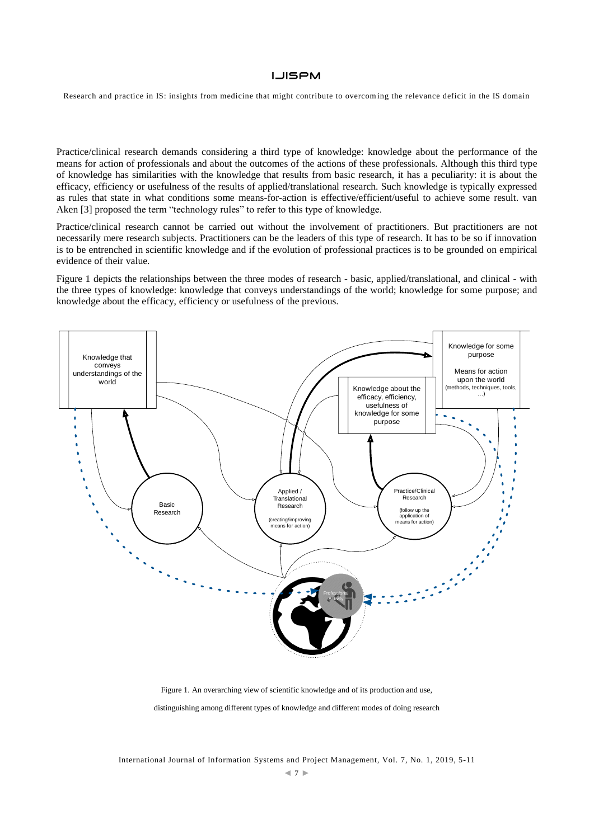Research and practice in IS: insights from medicine that might contribute to overcom ing the relevance deficit in the IS domain

Practice/clinical research demands considering a third type of knowledge: knowledge about the performance of the means for action of professionals and about the outcomes of the actions of these professionals. Although this third type of knowledge has similarities with the knowledge that results from basic research, it has a peculiarity: it is about the efficacy, efficiency or usefulness of the results of applied/translational research. Such knowledge is typically expressed as rules that state in what conditions some means-for-action is effective/efficient/useful to achieve some result. van Aken [3] proposed the term "technology rules" to refer to this type of knowledge.

Practice/clinical research cannot be carried out without the involvement of practitioners. But practitioners are not necessarily mere research subjects. Practitioners can be the leaders of this type of research. It has to be so if innovation is to be entrenched in scientific knowledge and if the evolution of professional practices is to be grounded on empirical evidence of their value.

Figure 1 depicts the relationships between the three modes of research - basic, applied/translational, and clinical - with the three types of knowledge: knowledge that conveys understandings of the world; knowledge for some purpose; and knowledge about the efficacy, efficiency or usefulness of the previous.



Figure 1. An overarching view of scientific knowledge and of its production and use,

distinguishing among different types of knowledge and different modes of doing research

International Journal of Information Systems and Project Management, Vol. 7, No. 1, 2019, 5-11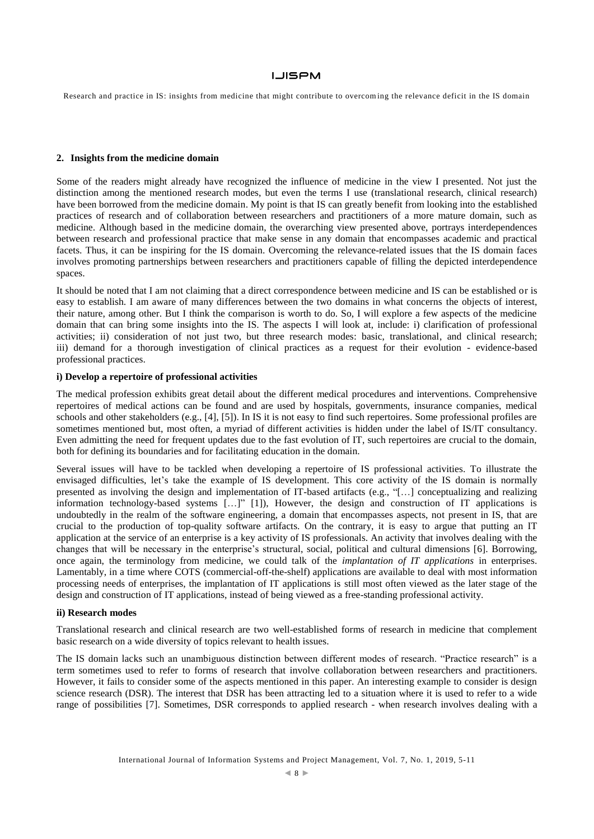Research and practice in IS: insights from medicine that might contribute to overcom ing the relevance deficit in the IS domain

#### **2. Insights from the medicine domain**

Some of the readers might already have recognized the influence of medicine in the view I presented. Not just the distinction among the mentioned research modes, but even the terms I use (translational research, clinical research) have been borrowed from the medicine domain. My point is that IS can greatly benefit from looking into the established practices of research and of collaboration between researchers and practitioners of a more mature domain, such as medicine. Although based in the medicine domain, the overarching view presented above, portrays interdependences between research and professional practice that make sense in any domain that encompasses academic and practical facets. Thus, it can be inspiring for the IS domain. Overcoming the relevance-related issues that the IS domain faces involves promoting partnerships between researchers and practitioners capable of filling the depicted interdependence spaces.

It should be noted that I am not claiming that a direct correspondence between medicine and IS can be established or is easy to establish. I am aware of many differences between the two domains in what concerns the objects of interest, their nature, among other. But I think the comparison is worth to do. So, I will explore a few aspects of the medicine domain that can bring some insights into the IS. The aspects I will look at, include: i) clarification of professional activities; ii) consideration of not just two, but three research modes: basic, translational, and clinical research; iii) demand for a thorough investigation of clinical practices as a request for their evolution - evidence-based professional practices.

## **i) Develop a repertoire of professional activities**

The medical profession exhibits great detail about the different medical procedures and interventions. Comprehensive repertoires of medical actions can be found and are used by hospitals, governments, insurance companies, medical schools and other stakeholders (e.g., [4], [5]). In IS it is not easy to find such repertoires. Some professional profiles are sometimes mentioned but, most often, a myriad of different activities is hidden under the label of IS/IT consultancy. Even admitting the need for frequent updates due to the fast evolution of IT, such repertoires are crucial to the domain, both for defining its boundaries and for facilitating education in the domain.

Several issues will have to be tackled when developing a repertoire of IS professional activities. To illustrate the envisaged difficulties, let's take the example of IS development. This core activity of the IS domain is normally presented as involving the design and implementation of IT-based artifacts (e.g., "[…] conceptualizing and realizing information technology-based systems […]" [1]), However, the design and construction of IT applications is undoubtedly in the realm of the software engineering, a domain that encompasses aspects, not present in IS, that are crucial to the production of top-quality software artifacts. On the contrary, it is easy to argue that putting an IT application at the service of an enterprise is a key activity of IS professionals. An activity that involves dealing with the changes that will be necessary in the enterprise's structural, social, political and cultural dimensions [6]. Borrowing, once again, the terminology from medicine, we could talk of the *implantation of IT applications* in enterprises. Lamentably, in a time where COTS (commercial-off-the-shelf) applications are available to deal with most information processing needs of enterprises, the implantation of IT applications is still most often viewed as the later stage of the design and construction of IT applications, instead of being viewed as a free-standing professional activity.

## **ii) Research modes**

Translational research and clinical research are two well-established forms of research in medicine that complement basic research on a wide diversity of topics relevant to health issues.

The IS domain lacks such an unambiguous distinction between different modes of research. "Practice research" is a term sometimes used to refer to forms of research that involve collaboration between researchers and practitioners. However, it fails to consider some of the aspects mentioned in this paper. An interesting example to consider is design science research (DSR). The interest that DSR has been attracting led to a situation where it is used to refer to a wide range of possibilities [7]. Sometimes, DSR corresponds to applied research - when research involves dealing with a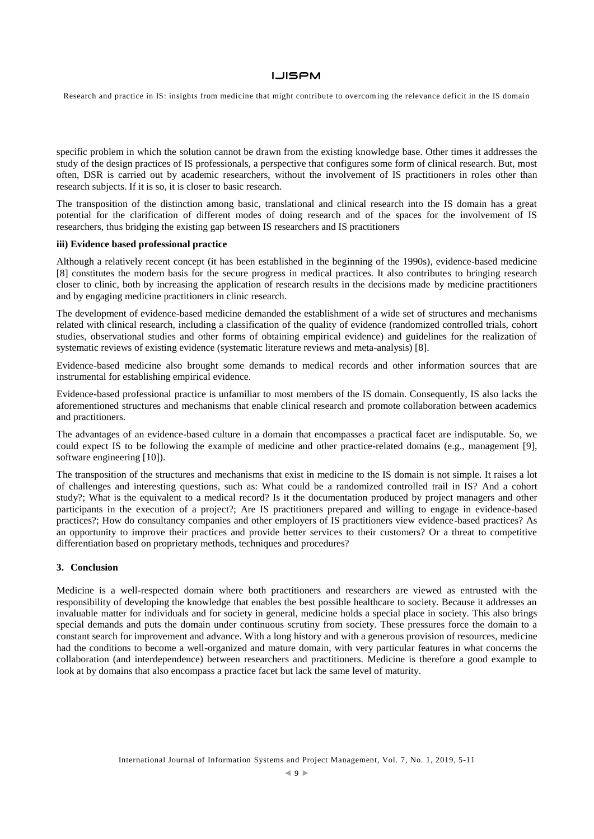## **LJISPM**

Research and practice in IS: insights from medicine that might contribute to overcom ing the relevance deficit in the IS domain

specific problem in which the solution cannot be drawn from the existing knowledge base. Other times it addresses the study of the design practices of IS professionals, a perspective that configures some form of clinical research. But, most often, DSR is carried out by academic researchers, without the involvement of IS practitioners in roles other than research subjects. If it is so, it is closer to basic research.

The transposition of the distinction among basic, translational and clinical research into the IS domain has a great potential for the clarification of different modes of doing research and of the spaces for the involvement of IS researchers, thus bridging the existing gap between IS researchers and IS practitioners

## **iii) Evidence based professional practice**

Although a relatively recent concept (it has been established in the beginning of the 1990s), evidence-based medicine [8] constitutes the modern basis for the secure progress in medical practices. It also contributes to bringing research closer to clinic, both by increasing the application of research results in the decisions made by medicine practitioners and by engaging medicine practitioners in clinic research.

The development of evidence-based medicine demanded the establishment of a wide set of structures and mechanisms related with clinical research, including a classification of the quality of evidence (randomized controlled trials, cohort studies, observational studies and other forms of obtaining empirical evidence) and guidelines for the realization of systematic reviews of existing evidence (systematic literature reviews and meta-analysis) [8].

Evidence-based medicine also brought some demands to medical records and other information sources that are instrumental for establishing empirical evidence.

Evidence-based professional practice is unfamiliar to most members of the IS domain. Consequently, IS also lacks the aforementioned structures and mechanisms that enable clinical research and promote collaboration between academics and practitioners.

The advantages of an evidence-based culture in a domain that encompasses a practical facet are indisputable. So, we could expect IS to be following the example of medicine and other practice-related domains (e.g., management [9], software engineering [10]).

The transposition of the structures and mechanisms that exist in medicine to the IS domain is not simple. It raises a lot of challenges and interesting questions, such as: What could be a randomized controlled trail in IS? And a cohort study?; What is the equivalent to a medical record? Is it the documentation produced by project managers and other participants in the execution of a project?; Are IS practitioners prepared and willing to engage in evidence-based practices?; How do consultancy companies and other employers of IS practitioners view evidence-based practices? As an opportunity to improve their practices and provide better services to their customers? Or a threat to competitive differentiation based on proprietary methods, techniques and procedures?

### **3. Conclusion**

Medicine is a well-respected domain where both practitioners and researchers are viewed as entrusted with the responsibility of developing the knowledge that enables the best possible healthcare to society. Because it addresses an invaluable matter for individuals and for society in general, medicine holds a special place in society. This also brings special demands and puts the domain under continuous scrutiny from society. These pressures force the domain to a constant search for improvement and advance. With a long history and with a generous provision of resources, medicine had the conditions to become a well-organized and mature domain, with very particular features in what concerns the collaboration (and interdependence) between researchers and practitioners. Medicine is therefore a good example to look at by domains that also encompass a practice facet but lack the same level of maturity.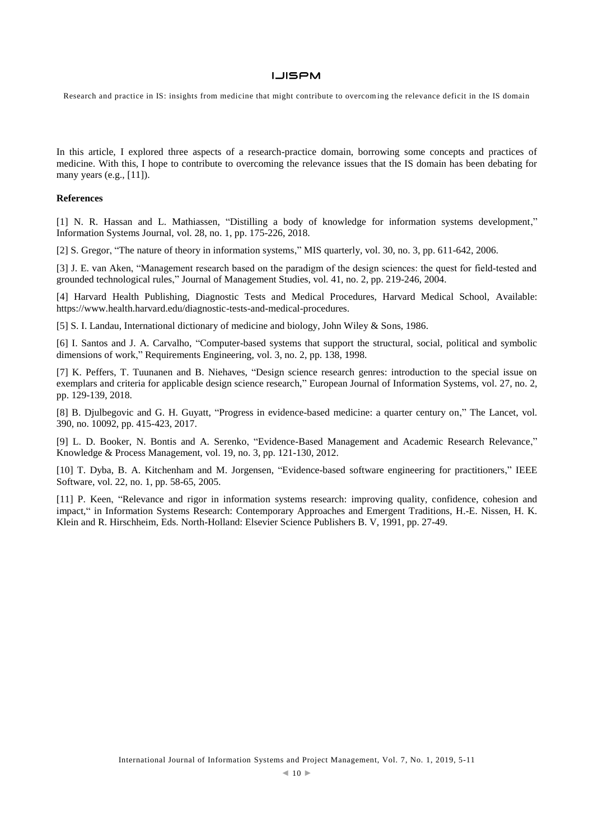Research and practice in IS: insights from medicine that might contribute to overcom ing the relevance deficit in the IS domain

In this article, I explored three aspects of a research-practice domain, borrowing some concepts and practices of medicine. With this, I hope to contribute to overcoming the relevance issues that the IS domain has been debating for many years (e.g., [11]).

#### **References**

[1] N. R. Hassan and L. Mathiassen, "Distilling a body of knowledge for information systems development," Information Systems Journal, vol. 28, no. 1, pp. 175-226, 2018.

[2] S. Gregor, "The nature of theory in information systems," MIS quarterly, vol. 30, no. 3, pp. 611-642, 2006.

[3] J. E. van Aken, "Management research based on the paradigm of the design sciences: the quest for field-tested and grounded technological rules," Journal of Management Studies, vol. 41, no. 2, pp. 219-246, 2004.

[4] Harvard Health Publishing, Diagnostic Tests and Medical Procedures, Harvard Medical School, Available: [https://www.health.harvard.edu/diagnostic-tests-and-medical-procedures.](https://www.health.harvard.edu/diagnostic-tests-and-medical-procedures)

[5] S. I. Landau, International dictionary of medicine and biology, John Wiley & Sons, 1986.

[6] I. Santos and J. A. Carvalho, "Computer-based systems that support the structural, social, political and symbolic dimensions of work," Requirements Engineering, vol. 3, no. 2, pp. 138, 1998.

[7] K. Peffers, T. Tuunanen and B. Niehaves, "Design science research genres: introduction to the special issue on exemplars and criteria for applicable design science research," European Journal of Information Systems, vol. 27, no. 2, pp. 129-139, 2018.

[8] B. Djulbegovic and G. H. Guyatt, "Progress in evidence-based medicine: a quarter century on," The Lancet, vol. 390, no. 10092, pp. 415-423, 2017.

[9] L. D. Booker, N. Bontis and A. Serenko, "Evidence-Based Management and Academic Research Relevance," Knowledge & Process Management, vol. 19, no. 3, pp. 121-130, 2012.

[10] T. Dyba, B. A. Kitchenham and M. Jorgensen, "Evidence-based software engineering for practitioners," IEEE Software, vol. 22, no. 1, pp. 58-65, 2005.

[11] P. Keen, "Relevance and rigor in information systems research: improving quality, confidence, cohesion and impact," in Information Systems Research: Contemporary Approaches and Emergent Traditions, H.-E. Nissen, H. K. Klein and R. Hirschheim, Eds. North-Holland: Elsevier Science Publishers B. V, 1991, pp. 27-49.